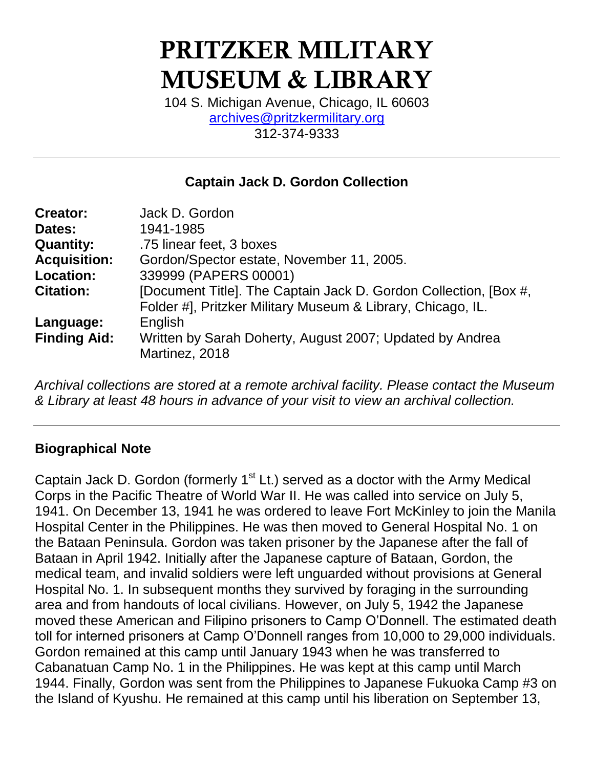# **PRITZKER MILITARY MUSEUM & LIBRARY**

104 S. Michigan Avenue, Chicago, IL 60603 [archives@pritzkermilitary.org](mailto:archives@pritzkermilitary.org) 312-374-9333

# **Captain Jack D. Gordon Collection**

| <b>Creator:</b>     | Jack D. Gordon                                                                                                                  |
|---------------------|---------------------------------------------------------------------------------------------------------------------------------|
| Dates:              | 1941-1985                                                                                                                       |
| <b>Quantity:</b>    | .75 linear feet, 3 boxes                                                                                                        |
| <b>Acquisition:</b> | Gordon/Spector estate, November 11, 2005.                                                                                       |
| <b>Location:</b>    | 339999 (PAPERS 00001)                                                                                                           |
| <b>Citation:</b>    | [Document Title]. The Captain Jack D. Gordon Collection, [Box #,<br>Folder #], Pritzker Military Museum & Library, Chicago, IL. |
| Language:           | English                                                                                                                         |
| <b>Finding Aid:</b> | Written by Sarah Doherty, August 2007; Updated by Andrea<br>Martinez, 2018                                                      |

*Archival collections are stored at a remote archival facility. Please contact the Museum & Library at least 48 hours in advance of your visit to view an archival collection.*

# **Biographical Note**

Captain Jack D. Gordon (formerly  $1<sup>st</sup>$  Lt.) served as a doctor with the Army Medical Corps in the Pacific Theatre of World War II. He was called into service on July 5, 1941. On December 13, 1941 he was ordered to leave Fort McKinley to join the Manila Hospital Center in the Philippines. He was then moved to General Hospital No. 1 on the Bataan Peninsula. Gordon was taken prisoner by the Japanese after the fall of Bataan in April 1942. Initially after the Japanese capture of Bataan, Gordon, the medical team, and invalid soldiers were left unguarded without provisions at General Hospital No. 1. In subsequent months they survived by foraging in the surrounding area and from handouts of local civilians. However, on July 5, 1942 the Japanese moved these American and Filipino prisoners to Camp O'Donnell. The estimated death toll for interned prisoners at Camp O'Donnell ranges from 10,000 to 29,000 individuals. Gordon remained at this camp until January 1943 when he was transferred to Cabanatuan Camp No. 1 in the Philippines. He was kept at this camp until March 1944. Finally, Gordon was sent from the Philippines to Japanese Fukuoka Camp #3 on the Island of Kyushu. He remained at this camp until his liberation on September 13,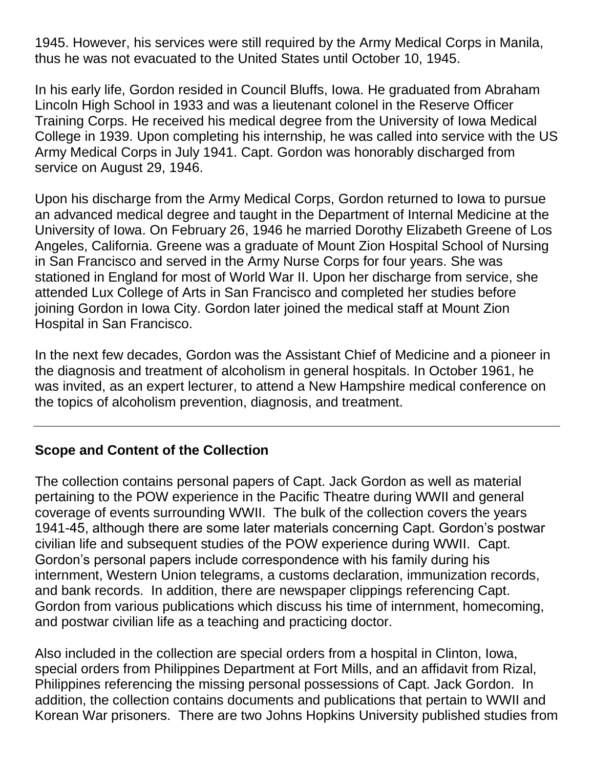1945. However, his services were still required by the Army Medical Corps in Manila, thus he was not evacuated to the United States until October 10, 1945.

In his early life, Gordon resided in Council Bluffs, Iowa. He graduated from Abraham Lincoln High School in 1933 and was a lieutenant colonel in the Reserve Officer Training Corps. He received his medical degree from the University of Iowa Medical College in 1939. Upon completing his internship, he was called into service with the US Army Medical Corps in July 1941. Capt. Gordon was honorably discharged from service on August 29, 1946.

Upon his discharge from the Army Medical Corps, Gordon returned to Iowa to pursue an advanced medical degree and taught in the Department of Internal Medicine at the University of Iowa. On February 26, 1946 he married Dorothy Elizabeth Greene of Los Angeles, California. Greene was a graduate of Mount Zion Hospital School of Nursing in San Francisco and served in the Army Nurse Corps for four years. She was stationed in England for most of World War II. Upon her discharge from service, she attended Lux College of Arts in San Francisco and completed her studies before joining Gordon in Iowa City. Gordon later joined the medical staff at Mount Zion Hospital in San Francisco.

In the next few decades, Gordon was the Assistant Chief of Medicine and a pioneer in the diagnosis and treatment of alcoholism in general hospitals. In October 1961, he was invited, as an expert lecturer, to attend a New Hampshire medical conference on the topics of alcoholism prevention, diagnosis, and treatment.

# **Scope and Content of the Collection**

The collection contains personal papers of Capt. Jack Gordon as well as material pertaining to the POW experience in the Pacific Theatre during WWII and general coverage of events surrounding WWII. The bulk of the collection covers the years 1941-45, although there are some later materials concerning Capt. Gordon's postwar civilian life and subsequent studies of the POW experience during WWII. Capt. Gordon's personal papers include correspondence with his family during his internment, Western Union telegrams, a customs declaration, immunization records, and bank records. In addition, there are newspaper clippings referencing Capt. Gordon from various publications which discuss his time of internment, homecoming, and postwar civilian life as a teaching and practicing doctor.

Also included in the collection are special orders from a hospital in Clinton, Iowa, special orders from Philippines Department at Fort Mills, and an affidavit from Rizal, Philippines referencing the missing personal possessions of Capt. Jack Gordon. In addition, the collection contains documents and publications that pertain to WWII and Korean War prisoners. There are two Johns Hopkins University published studies from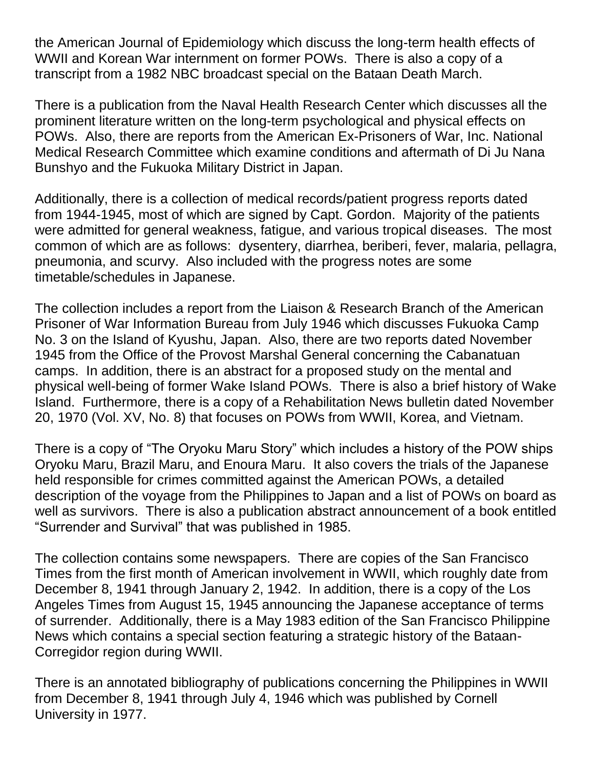the American Journal of Epidemiology which discuss the long-term health effects of WWII and Korean War internment on former POWs. There is also a copy of a transcript from a 1982 NBC broadcast special on the Bataan Death March.

There is a publication from the Naval Health Research Center which discusses all the prominent literature written on the long-term psychological and physical effects on POWs. Also, there are reports from the American Ex-Prisoners of War, Inc. National Medical Research Committee which examine conditions and aftermath of Di Ju Nana Bunshyo and the Fukuoka Military District in Japan.

Additionally, there is a collection of medical records/patient progress reports dated from 1944-1945, most of which are signed by Capt. Gordon. Majority of the patients were admitted for general weakness, fatigue, and various tropical diseases. The most common of which are as follows: dysentery, diarrhea, beriberi, fever, malaria, pellagra, pneumonia, and scurvy. Also included with the progress notes are some timetable/schedules in Japanese.

The collection includes a report from the Liaison & Research Branch of the American Prisoner of War Information Bureau from July 1946 which discusses Fukuoka Camp No. 3 on the Island of Kyushu, Japan. Also, there are two reports dated November 1945 from the Office of the Provost Marshal General concerning the Cabanatuan camps. In addition, there is an abstract for a proposed study on the mental and physical well-being of former Wake Island POWs. There is also a brief history of Wake Island. Furthermore, there is a copy of a Rehabilitation News bulletin dated November 20, 1970 (Vol. XV, No. 8) that focuses on POWs from WWII, Korea, and Vietnam.

There is a copy of "The Oryoku Maru Story" which includes a history of the POW ships Oryoku Maru, Brazil Maru, and Enoura Maru. It also covers the trials of the Japanese held responsible for crimes committed against the American POWs, a detailed description of the voyage from the Philippines to Japan and a list of POWs on board as well as survivors. There is also a publication abstract announcement of a book entitled "Surrender and Survival" that was published in 1985.

The collection contains some newspapers. There are copies of the San Francisco Times from the first month of American involvement in WWII, which roughly date from December 8, 1941 through January 2, 1942. In addition, there is a copy of the Los Angeles Times from August 15, 1945 announcing the Japanese acceptance of terms of surrender. Additionally, there is a May 1983 edition of the San Francisco Philippine News which contains a special section featuring a strategic history of the Bataan-Corregidor region during WWII.

There is an annotated bibliography of publications concerning the Philippines in WWII from December 8, 1941 through July 4, 1946 which was published by Cornell University in 1977.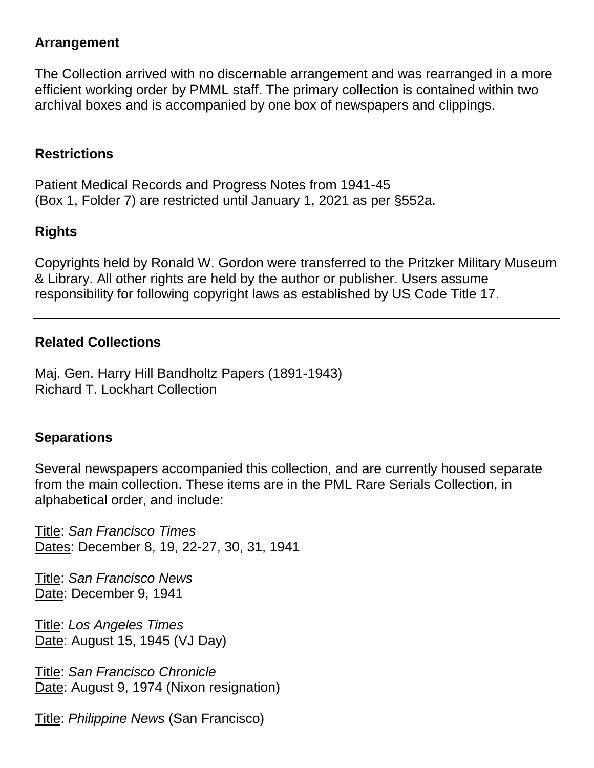#### **Arrangement**

The Collection arrived with no discernable arrangement and was rearranged in a more efficient working order by PMML staff. The primary collection is contained within two archival boxes and is accompanied by one box of newspapers and clippings.

#### **Restrictions**

Patient Medical Records and Progress Notes from 1941-45 (Box 1, Folder 7) are restricted until January 1, 2021 as per §552a.

# **Rights**

Copyrights held by Ronald W. Gordon were transferred to the Pritzker Military Museum & Library. All other rights are held by the author or publisher. Users assume responsibility for following copyright laws as established by US Code Title 17.

#### **Related Collections**

Maj. Gen. Harry Hill Bandholtz Papers (1891-1943) Richard T. Lockhart Collection

#### **Separations**

Several newspapers accompanied this collection, and are currently housed separate from the main collection. These items are in the PML Rare Serials Collection, in alphabetical order, and include:

Title: *San Francisco Times* Dates: December 8, 19, 22-27, 30, 31, 1941

Title: *San Francisco News* Date: December 9, 1941

Title: *Los Angeles Times* Date: August 15, 1945 (VJ Day)

Title: *San Francisco Chronicle* Date: August 9, 1974 (Nixon resignation)

Title: *Philippine News* (San Francisco)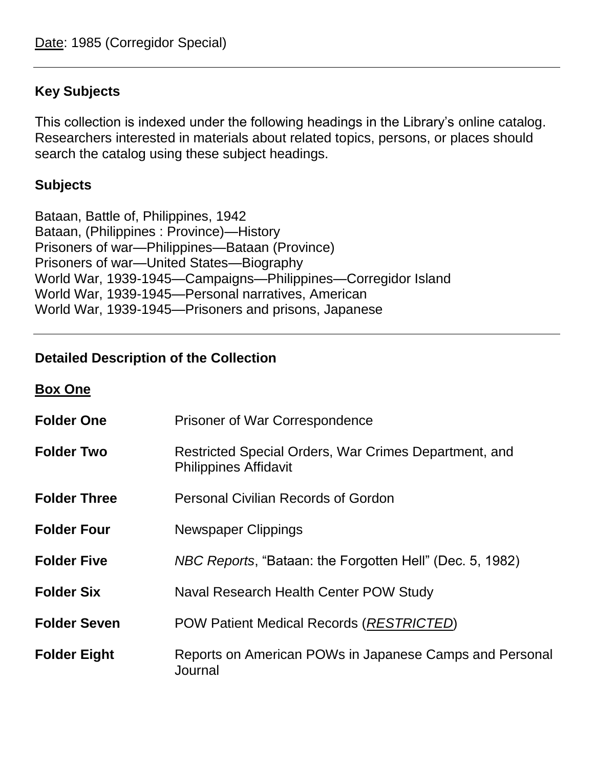# **Key Subjects**

This collection is indexed under the following headings in the Library's online catalog. Researchers interested in materials about related topics, persons, or places should search the catalog using these subject headings.

# **Subjects**

Bataan, Battle of, Philippines, 1942 Bataan, (Philippines : Province)—History Prisoners of war—Philippines—Bataan (Province) Prisoners of war—United States—Biography World War, 1939-1945—Campaigns—Philippines—Corregidor Island World War, 1939-1945—Personal narratives, American World War, 1939-1945—Prisoners and prisons, Japanese

# **Detailed Description of the Collection**

**Box One**

| <b>Folder One</b>   | <b>Prisoner of War Correspondence</b>                                                 |
|---------------------|---------------------------------------------------------------------------------------|
| <b>Folder Two</b>   | Restricted Special Orders, War Crimes Department, and<br><b>Philippines Affidavit</b> |
| <b>Folder Three</b> | <b>Personal Civilian Records of Gordon</b>                                            |
| <b>Folder Four</b>  | Newspaper Clippings                                                                   |
| <b>Folder Five</b>  | NBC Reports, "Bataan: the Forgotten Hell" (Dec. 5, 1982)                              |
| <b>Folder Six</b>   | Naval Research Health Center POW Study                                                |
| <b>Folder Seven</b> | POW Patient Medical Records (RESTRICTED)                                              |
| <b>Folder Eight</b> | Reports on American POWs in Japanese Camps and Personal<br>Journal                    |